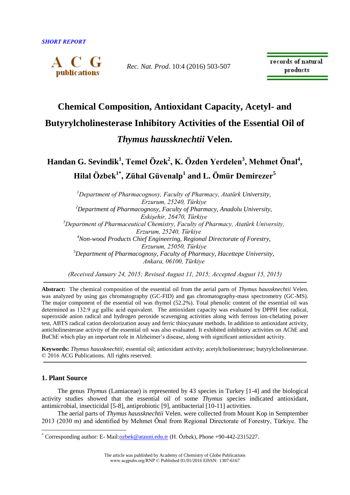

*Rec. Nat. Prod*. 10:4 (2016) 503-507

records of natural products

# **Chemical Composition, Antioxidant Capacity, Acetyl- and Butyrylcholinesterase Inhibitory Activities of the Essential Oil of**  *Thymus haussknechtii* **Velen.**

**Handan G. Sevindik<sup>1</sup> , Temel Özek<sup>2</sup> , K. Özden Yerdelen<sup>3</sup> , Mehmet Önal<sup>4</sup> , Hilal Özbek1\* , Zühal Güvenalp<sup>1</sup> and L. Ömür Demirezer<sup>5</sup>**

*<sup>1</sup>Department of Pharmacognosy, Faculty of Pharmacy, Atatürk University, Erzurum, 25240, Türkiye <sup>2</sup>Department of Pharmacognosy, Faculty of Pharmacy, Anadolu University, Eskişehir, 26470, Türkiye <sup>3</sup>Department of Pharmaceutical Chemistry, Faculty of Pharmacy, Atatürk University, Erzurum, 25240, Türkiye <sup>4</sup>Non-wood Products Chief Engineering, Regional Directorate of Forestry, Erzurum, 25050, Türkiye <sup>5</sup>Department of Pharmacognosy, Faculty of Pharmacy, Hacettepe University, Ankara, 06100, Türkiye*

*(Received January 24, 2015; Revised August 11, 2015; Accepted August 15, 2015)*

**Abstract:** The chemical composition of the essential oil from the aerial parts of *Thymus haussknechtii* Velen. was analyzed by using gas chromatography (GC-FID) and gas chromatography-mass spectrometry (GC-MS). The major component of the essential oil was thymol (52.2%). Total phenolic content of the essential oil was determined as 132.9 µg gallic acid equivalent. The antioxidant capacity was evaluated by DPPH free radical, superoxide anion radical and hydrogen peroxide scavenging activities along with ferrous ion-chelating power test, ABTS radical cation decolorization assay and ferric thiocyanate methods. In addition to antioxidant activity, anticholinesterase activity of the essential oil was also evaluated. It exhibited inhibitory activities on AChE and BuChE which play an important role in Alzheimer's disease, along with significant antioxidant activity.

**Keywords:** *Thymus haussknechtii*; essential oil; antioxidant activity; acetylcholinesterase; butyrylcholinesterase. © 2016 ACG Publications. All rights reserved.

## **1. Plant Source**

 $\overline{a}$ 

The genus *Thymus* (Lamiaceae) is represented by 43 species in Turkey [1-4] and the biological activity studies showed that the essential oil of some *Thymus* species indicated antioxidant, antimicrobial, insecticidal [5-8], antiprobiotic [9], antibacterial [10-11] activities.

The aerial parts of *Thymus haussknechtii* Velen. were collected from Mount Kop in Semptember 2013 (2030 m) and identified by Mehmet Önal from Regional Directorate of Forestry, Türkiye. The

<sup>\*</sup> Corresponding author: E- Mail[:ozbek@atauni.edu.tr](mailto:ozbek@atauni.edu.tr) (H. Özbek), Phone +90-442-2315227.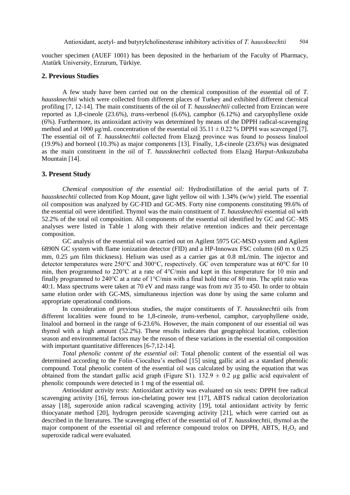voucher specimen (AUEF 1001) has been deposited in the herbarium of the Faculty of Pharmacy, Atatürk University, Erzurum, Türkiye.

## **2. Previous Studies**

A few study have been carried out on the chemical composition of the essential oil of *T. haussknechtii* which were collected from different places of Turkey and exhibited different chemical profiling [7, 12-14]. The main constituents of the oil of *T. haussknechtii* collected from Erzincan were reported as 1,8-cineole (23.6%), *trans*-verbenol (6.6%), camphor (6.12%) and caryophyllene oxide (6%). Furthermore, its antioxidant activity was determined by means of the DPPH radical-scavenging method and at 1000 μg/mL concentration of the essential oil  $35.11 \pm 0.22$  % DPPH was scavenged [7]. The essential oil of *T. haussknechtii* collected from Elazığ province was found to possess linalool (19.9%) and borneol (10.3%) as major components [13]. Finally, 1,8-cineole (23.6%) was designated as the main constituent in the oil of *T. haussknechtii* collected from Elazığ Harput-Ankuzubaba Mountain [14].

# **3. Present Study**

*Chemical composition of the essential oil:* Hydrodistillation of the aerial parts of *T. haussknechtii* collected from Kop Mount, gave light yellow oil with 1.34% (w/w) yield. The essential oil composition was analyzed by GC-FID and GC-MS. Forty nine components constituting 99.6% of the essential oil were identified. Thymol was the main constituent of *T. haussknechtii* essential oil with 52.2% of the total oil composition. All components of the essential oil identified by GC and GC–MS analyses were listed in Table 1 along with their relative retention indices and their percentage composition.

GC analysis of the essential oil was carried out on Agilent 5975 GC-MSD system and Agilent 6890N GC system with flame ionization detector (FID) and a HP-Innowax FSC column (60 m x 0.25 mm, 0.25 um film thickness). Helium was used as a carrier gas at 0.8 mL/min. The injector and detector temperatures were 250°C and 300°C, respectively. GC oven temperature was at 60°C for 10 min, then programmed to 220°C at a rate of 4°C/min and kept in this temperature for 10 min and finally programmed to 240 $\degree$ C at a rate of 1 $\degree$ C/min with a final hold time of 80 min. The split ratio was 40:1. Mass spectrums were taken at 70 eV and mass range was from *m/z* 35 to 450. In order to obtain same elution order with GC-MS, simultaneous injection was done by using the same column and appropriate operational conditions.

In consideration of previous studies, the major constituents of *T. haussknechtii* oils from different localities were found to be 1,8-cineole, *trans*-verbenol, camphor, caryophyllene oxide, linalool and borneol in the range of 6-23.6%. However, the main component of our essential oil was thymol with a high amount (52.2%). These results indicates that geographical location, collection season and environmental factors may be the reason of these variations in the essential oil composition with important quantitative differences [6-7,12-14].

*Total phenolic content of the essential oil:* Total phenolic content of the essential oil was determined according to the Folin–Ciocalteu's method [15] using gallic acid as a standard phenolic compound. Total phenolic content of the essential oil was calculated by using the equation that was obtained from the standart gallic acid graph (Figure S1).  $132.9 \pm 0.2$  µg gallic acid equivalent of phenolic compounds were detected in 1 mg of the essential oil.

*Antioxidant activity tests:* Antioxidant activity was evaluated on six tests: DPPH free radical scavenging activity [16], ferrous ion-chelating power test [17], ABTS radical cation decolorization assay [18], superoxide anion radical scavenging activity [19], total antioxidant activity by ferric thiocyanate method [20], hydrogen peroxide scavenging activity [21], which were carried out as described in the literatures. The scavenging effect of the essential oil of *T. haussknechtii*, thymol as the major component of the essential oil and reference compound trolox on DPPH, ABTS,  $H_2O_2$  and superoxide radical were evaluated.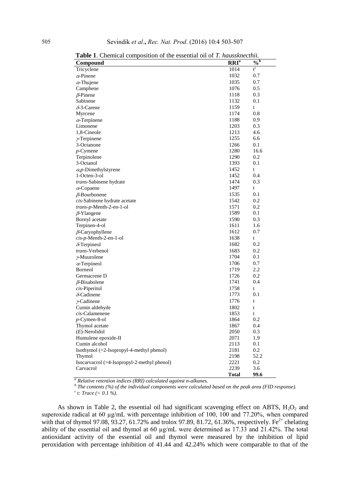|                                             | 1, <i>I vuvvo otvi vu</i> v |                  |
|---------------------------------------------|-----------------------------|------------------|
| Compound                                    | RRI <sup>a</sup>            | $\overline{0/6}$ |
| Tricyclene                                  | 1014                        | $t^c$            |
| $\alpha$ -Pinene                            | 1032                        | 0.7              |
| $\alpha$ -Thujene                           | 1035                        | 0.7              |
| Camphene                                    | 1076                        | 0.5              |
| $\beta$ -Pinene                             | 1118                        | 0.3              |
| Sabinene                                    | 1132                        | 0.1              |
| $\delta$ -3-Carene                          | 1159                        | t                |
| Myrcene                                     | 1174                        | 0.8              |
| $\alpha$ -Terpinene                         | 1188                        | 0.9              |
| Limonene                                    | 1203                        | 0.3              |
| 1,8-Cineole                                 | 1213                        | 4.6              |
| $\gamma$ -Terpinene                         | 1255                        | 6.6              |
| 3-Octanone                                  | 1266                        | 0.1              |
| $p$ -Cymene                                 | 1280                        | 16.6             |
| Terpinolene                                 | 1290                        | 0.2              |
| 3-Octanol                                   | 1393                        | 0.1              |
| $\alpha$ , <i>p</i> -Dimethylstyrene        | 1452                        | t                |
| 1-Octen-3-ol                                | 1452                        | 0.4              |
| trans-Sabinene hydrate                      | 1474                        | 0.3              |
| $\alpha$ -Copaene                           | 1497                        | t                |
| $\beta$ -Bourbonene                         | 1535                        | 0.1              |
| cis-Sabinene hydrate acetate                | 1542                        | 0.2              |
| <i>trans-p-Menth-2-en-1-ol</i>              | 1571                        | 0.2              |
| $\beta$ -Ylangene                           | 1589                        | 0.1              |
| Bornyl acetate                              | 1590                        | 0.3              |
| Terpinen-4-ol                               | 1611                        | 1.6              |
|                                             | 1612                        | 0.7              |
| $\beta$ -Caryophyllene                      | 1638                        |                  |
| $cis$ -p-Menth-2-en-1-ol                    | 1682                        | t<br>0.2         |
| $\delta$ -Terpineol                         |                             | 0.2              |
| trans-Verbenol                              | 1683<br>1704                | 0.1              |
| $\nu$ -Muurolene                            |                             |                  |
| $\alpha$ -Terpineol                         | 1706                        | 0.7              |
| <b>Borneol</b>                              | 1719                        | 2.2              |
| Germacrene D                                | 1726                        | 0.2              |
| $\beta$ -Bisabolene                         | 1741                        | 0.4              |
| cis-Piperitol                               | 1758                        | t                |
| $\delta$ -Cadinene                          | 1773                        | 0.1              |
| $\nu$ -Cadinene                             | 1776                        | t                |
| Cumin aldehyde                              | 1802                        | t                |
| cis-Calamenene                              | 1853                        | t                |
| $p$ -Cymen-8-ol                             | 1864                        | 0.2              |
| Thymol acetate                              | 1867                        | 0.4              |
| $(E)$ -Nerolidol                            | 2050                        | 0.3              |
| Humulene epoxide-II                         | 2071                        | 1.9              |
| Cumin alcohol                               | 2113                        | 0.1              |
| Isothymol (=2-Isopropyl-4-methyl phenol)    | 2181                        | 0.2              |
| Thymol                                      | 2198                        | 52.2             |
| Isocarvacrol (=4-Isopropyl-2-methyl phenol) | 2221                        | 0.2              |
| Carvacrol                                   | 2239                        | 3.6              |
|                                             | <b>Total</b>                | 99.6             |

**Table 1**. Chemical composition of the essential oil of *T. haussknecthii.*

*<sup>a</sup> Relative retention indices (RRI) calculated against n-alkanes.* 

*b Pretative retention mattes (KIT), calculated against transmits.*<br><sup>b</sup> The contents (%) of the individual components were calculated based on the peak area (FID response). *c c*  $\frac{1}{c}$  *t:* Trace (< 0.1 %).

As shown in Table 2, the essential oil had significant scavenging effect on ABTS,  $H_2O_2$  and superoxide radical at 60 µg/mL with percentage inhibition of 100, 100 and 77.20%, when compared with that of thymol 97.08, 93.27, 61.72% and trolox 97.89, 81.72, 61.36%, respectively. Fe<sup>2+</sup> chelating ability of the essential oil and thymol at 60 µg/mL were determined as 17.33 and 21.42%. The total antioxidant activity of the essential oil and thymol were measured by the inhibition of lipid peroxidation with percentage inhibition of 41.44 and 42.24% which were comparable to that of the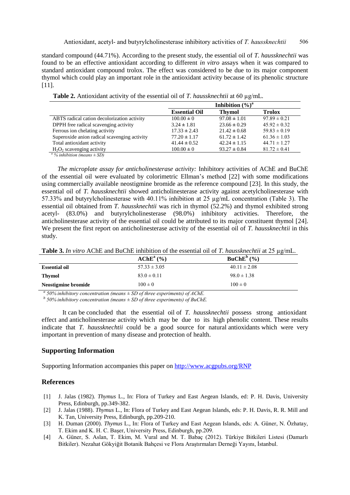standard compound (44.71%). According to the present study, the essential oil of *T. haussknechtii* was found to be an effective antioxidant according to different *in vitro* assays when it was compared to standard antioxidant compound trolox. The effect was considered to be due to its major component thymol which could play an important role in the antioxidant activity because of its phenolic structure [11].

|                                              |                      | Inhibition $(\%)^a$ |                  |
|----------------------------------------------|----------------------|---------------------|------------------|
|                                              | <b>Essential Oil</b> | <b>Thymol</b>       | <b>Trolox</b>    |
| ABTS radical cation decolorization activity  | $100.00 \pm 0$       | $97.08 \pm 1.01$    | $97.89 \pm 0.21$ |
| DPPH free radical scavenging activity        | $3.24 \pm 1.81$      | $23.66 \pm 0.29$    | $45.92 \pm 0.32$ |
| Ferrous ion chelating activity               | $17.33 \pm 2.43$     | $21.42 \pm 0.68$    | $59.83 \pm 0.19$ |
| Superoxide anion radical scavenging activity | $77.20 \pm 1.17$     | $61.72 \pm 1.42$    | $61.36 \pm 1.03$ |
| Total antioxidant activity                   | $41.44 \pm 0.52$     | $42.24 \pm 1.15$    | $44.71 \pm 1.27$ |
| $H_2O_2$ scavenging activity                 | $100.00 \pm 0$       | $93.27 \pm 0.84$    | $81.72 \pm 0.41$ |

 **Table 2.** Antioxidant activity of the essential oil of *T. haussknechtii* at 60 µg/mL*.*

*<sup>a</sup> % inhibition (means ± SD)*

*The microplate assay for anticholinesterase activity:* Inhibitory activities of AChE and BuChE of the essential oil were evaluated by colorimetric Ellman's method [22] with some modifications using commercially available neostigmine bromide as the reference compound [23]. In this study, the essential oil of *T. haussknechtii* showed anticholinesterase activity against acetylcholinesterase with 57.33% and butyrylcholinesterase with 40.11% inhibition at 25 µg/mL concentration (Table 3). The essential oil obtained from *T. haussknechtii* was rich in thymol (52.2%) and thymol exhibited strong acetyl- (83.0%) and butyrylcholinesterase (98.0%) inhibitory activities. Therefore, the anticholinesterase activity of the essential oil could be attributed to its major constituent thymol [24]. We present the first report on anticholinesterase activity of the essential oil of *T. haussknechtii* in this study.

| Table 3. In vitro AChE and BuChE inhibition of the essential oil of T. haussknechtii at 25 µg/mL. |  |
|---------------------------------------------------------------------------------------------------|--|
|---------------------------------------------------------------------------------------------------|--|

|                      | $AChEa(\%)$      | $BuChE^b$ (%)    |  |
|----------------------|------------------|------------------|--|
| <b>Essential oil</b> | $57.33 \pm 3.05$ | $40.11 \pm 2.08$ |  |
| <b>Thymol</b>        | $83.0 \pm 0.11$  | $98.0 \pm 1.38$  |  |
| Neostigmine bromide  | $100 \pm 0$      | $100 \pm 0$      |  |
|                      |                  |                  |  |

<sup>*a*</sup> 50% inhibitory concentration (means  $\pm$  SD of three experiments) of AChE.

*b 50% inhibitory concentration (means ± SD of three experiments) of BuChE.*

It can be concluded that the essential oil of *T. haussknechtii* possess strong antioxidant effect and anticholinesterase activity which may be due to its high phenolic content. These results indicate that *T. haussknechtii* could be a good source for natural antioxidants which were very important in prevention of many disease and protection of health.

#### **Supporting Information**

Supporting Information accompanies this paper on<http://www.acgpubs.org/RNP>

#### **References**

- [1] J. Jalas (1982). *Thymus* L., In: Flora of Turkey and East Aegean Islands, ed: P. H. Davis, University Press, Edinburgh, pp.349-382.
- [2] J. Jalas (1988). *Thymus* L., In: Flora of Turkey and East Aegean Islands, eds: P. H. Davis, R. R. Mill and K. Tan, University Press, Edinburgh, pp.209-210.
- [3] H. Duman (2000). *Thymus* L., In: Flora of Turkey and East Aegean Islands, eds: A. Güner, N. Özhatay, T. Ekim and K. H. C. Başer, University Press, Edinburgh, pp.209.
- [4] A. Güner, S. Aslan, T. Ekim, M. Vural and M. T. Babaç (2012). Türkiye Bitkileri Listesi (Damarlı Bitkiler). Nezahat Gökyiğit Botanik Bahçesi ve Flora Araştırmaları Derneği Yayını, İstanbul.